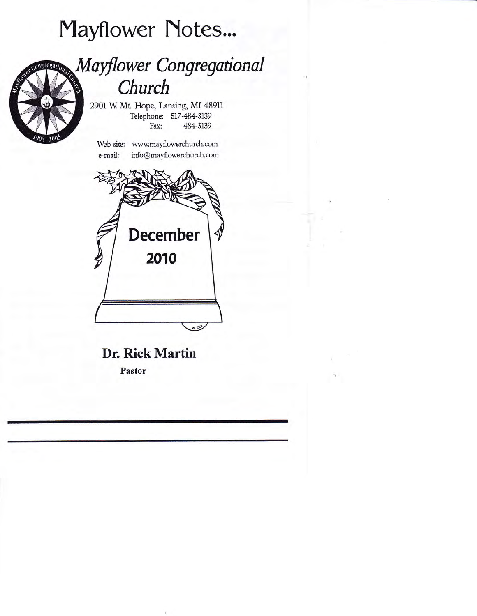# Mayflower Notes...

## Mayflower Congregational Church

2901 W. Mt. Hope, Lansing, MI 48911 Telephone: 517-484-3139 Fax: 484-3139

Web site: wwwmayflowerchurch.com e-mail: info@mayflowerchurch.com



Dr. Rick Martin

Pastor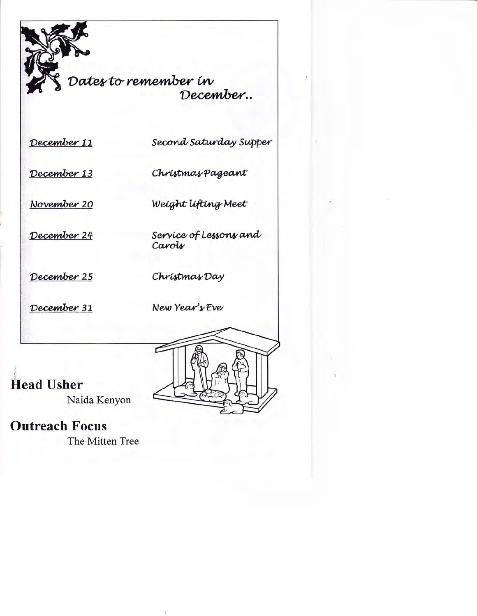Dates to remember in December..

December 11

Second Saturday Supper

December 13

Christmas Pageant

Weight lifting Meet

November 20

December 24

Service of Lessons and Carols

December 25

Christmas Day

December 31

New Year's Eve



**Head Usher** 

Naida Kenyon

### **Outreach Focus**

The Mitten Tree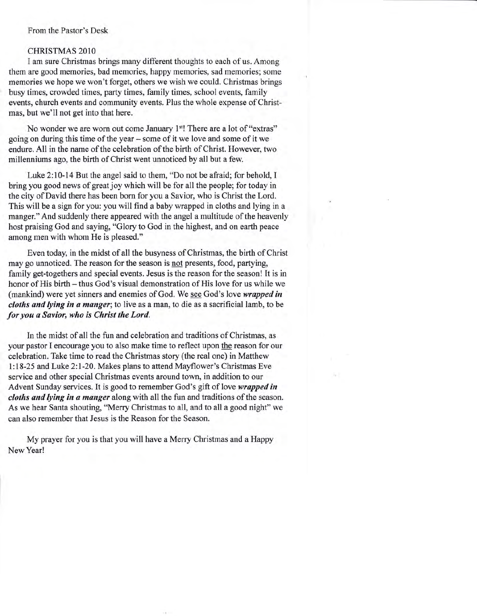#### From the Pastor's Desk

#### CHRISTMAS 2O1O

I am sure Christmas brings many different thoughts to each of us. Among them are good memories, bad memories, happy memories, sad memories; some memories we hope we won't forget, others we wish we could. Christmas brings busy times, crowded times, party times, family times, school events, family events, church events and community events, Plus the whole expense of Christmas, but we'll not get into that here.

No wonder we are worn out come January 1<sup>st</sup>! There are a lot of "extras" going on during this time of the year - some of it we love and some of it we endure. All in the name of the celebration of the birth of Christ. However, two millenniums ago, the birth of Christ went unnoticed by all but a few.

Luke 2:10-14 But the angel said to them, "Do not be afraid; for behold, I bring you good news of great joy which will be for all the people; for today in the city of David there has been born for you a Savior, who is Christ the Lord. This will be a sign for you: you will find a baby wrapped in cloths and lying in a manger."And suddenly there appeared with the angel a multitude of the heavenly host praising God and saying, "Glory to God in the highest, and on earth peace among men with whom He is pleased."

Even today, in the midst of all the busyness of Christmas, the birth of Christ may go unnoticed. The reason for the season is not presents, food, partying, family get-togethers and special events. Jesus is the reason for the season! It is in honor of His birth – thus God's visual demonstration of His love for us while we (mankind) were yet sinners and enemies of God. We see God's love *wrapped in* cloths and lying in a manger; to live as a man, to die as a sacrificial lamb, to be for you a Savior, who is Christ the Lord.

In the midst of all the fun and celebration and traditions of Christmas, as your pastor I encourage you to also make time to reflect upon the reason for our celebration. Take time to read the Christmas story (the real one) in Matthew l:18-25 and Luke 2:l-20. Makes plans to attend Mayflower's Christmas Eve service and other special Christmas events around town, in addition to our Advent Sunday services. It is good to remember God's gift of love wrapped in cloths and lying in a manger along with all the fun and traditions of the season. As we hear Santa shouting, "Merry Christmas to all, and to all a good night" we can also remember that Jesus is the Reason for the Season.

My prayer for you is that you will have a Merry Christmas and a Happy New Year!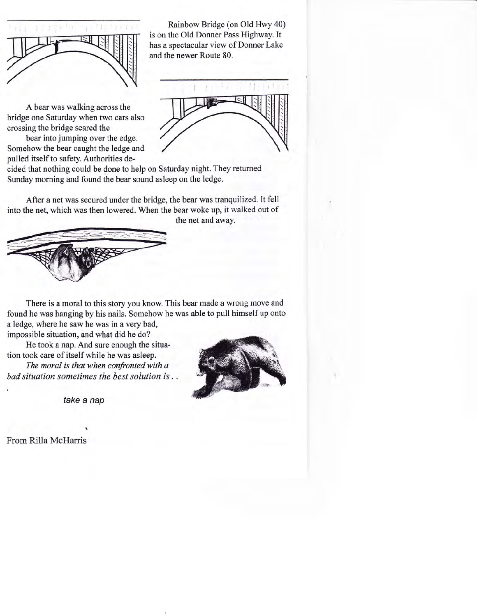

Rainbow Bridge (on Old Hwy 40) is on the Old Donner Pass Highway. It has a spectacular view of Donner Lake and the newer Route 80.



A bear was walking across the bridge one Saturday when two cars also crossing the bridge scared the

bear into jumping over the edge. Somehow the bear caught the ledge and pulled itself to safety. Authorities de-

cided that nothing could be done to help on Saturday night. They returned Sunday morning and found the bear sound asleep on the ledge.

After a net was secured under the bridge, the bear was tranquilized. It fell into the net, which was then lowered. When the bear woke up, it walked out of the net and away.



There is a moral to this story you know. This bear made a wrong move and found he was hanging by his nails. Somehow he was able to pull himself up onto a ledge, where he saw he was in a very bad,

impossible situation, and what did he do?

He took a nap. And sure enough the situation took care of itself while he was asleep.

The moral is that when confronted with a bad situation sometimes the best solution is .



take a nap

From Rilla McHarris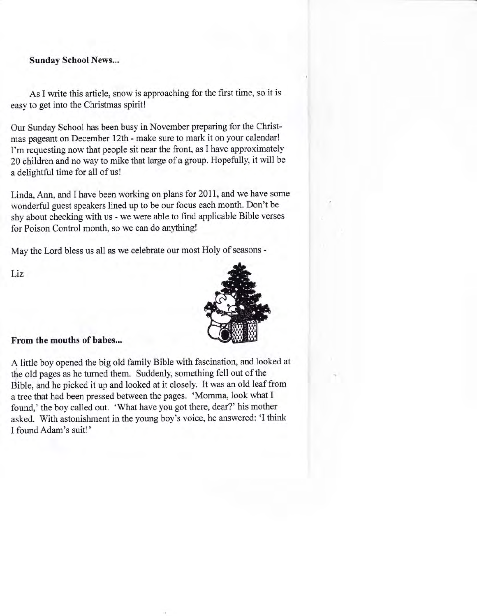Sunday School News...

As I write this article, snow is approaching for the first time, so it is easy to get into the Christmas spirit!

Our Sunday School has been busy in November preparing for the Christmas pageant on December 12th - make sure to mark it on your calendar! I'm requesting now that people sit near the front, as I have approximately 20 children and no way to mike that large of a group. Hopefully, it will be a delightful time for all of us!

Linda, Ann, and I have been working on plans for 2011, and we have some wonderful guest speakers lined up to be our focus each month. Don't be shy about checking with us - we were able to find applicable Bible verses for Poison Control month, so we can do anything!

May the Lord bless us all as we celebrate our most Holy of seasons -

Liz



### From the mouths of babes...

A little boy opened the big old family Bible with fascination, and looked at the old pages as he turned them. Suddenly, something fell out of the Bible, and he picked it up and looked at it closely. It was an old leaf from <sup>a</sup>tree that had been pressed between the pages. 'Momma, look what I found,' the boy called out. 'What have you got there, dear?' his mother asked. With astonishment in the young boy's voice, he answered: 'I think I found Adam's suit!'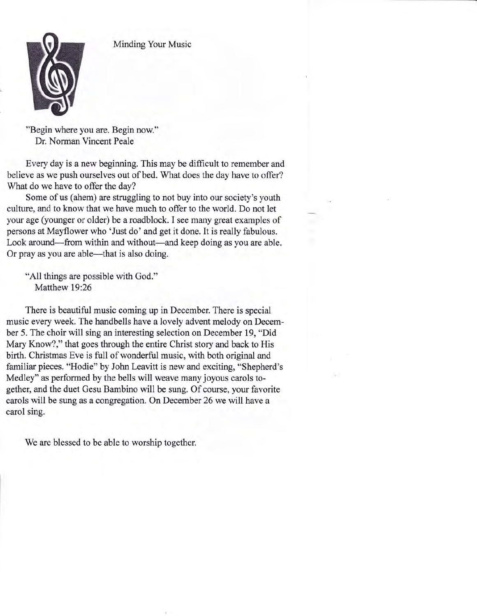Minding Your Music



"Begin where you are. Begin now." Dr. Norman Vincent Peale

Every day is a new beginning. This may be diffrcult to remember and believe as we push ourselves out of bed. What does the day have to offer? What do we have to offer the day?

Some of us (ahem) are struggling to not buy into our society's youth culture, and to know that we have much to offer to the world. Do not let your age (younger or older) be a roadblock. I see many great examples of persons at Mayflower who 'Just do' and get it done. It is really fabulous. Look around—from within and without—and keep doing as you are able. Or pray as you are able—that is also doing.

"All things are possible with God." Matthew 19:26

There is beautiful music coming up in December. There is special music every week. The handbells have a lovely advent melody on December 5. The choir will sing an interesting selection on December 19, "Did Mary Know?," that goes through the entire Christ story and back to His birth. Christmas Eve is full of wonderful music, with both original and familiar pieces. "Hodie" by John Leavitt is new and exciting, "Shepherd's Medley" as performed by the bells will weave many joyous carols together, and the duet Gesu Bambino will be sung. Of course, your favorite carols will be sung as a congregation. On December 26 we will have a carol sing.

We are blessed to be able to worship together.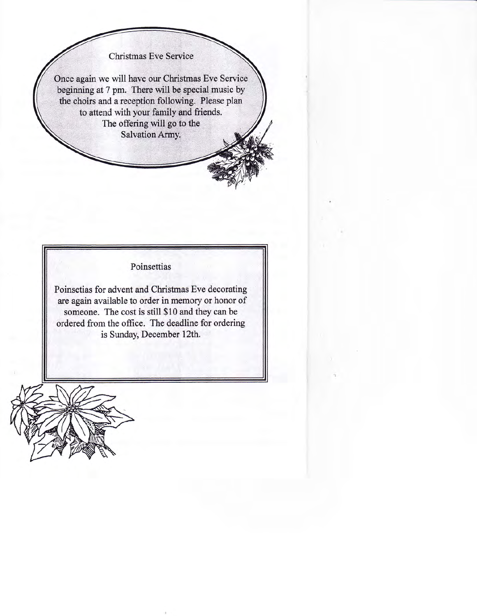**Christmas Eve Service** 

Once again we will have our Christmas Eve Service beginning at 7 pm. There will be special music by the choirs and a reception following. Please plan to attend with your family and friends. The offering will go to the Salvation Army.



Poinsetias for advent and Christmas Eve decorating are again available to order in memory or honor of someone. The cost is still \$10 and they can be ordered from the office. The deadline for ordering is Sunday, December l2th.